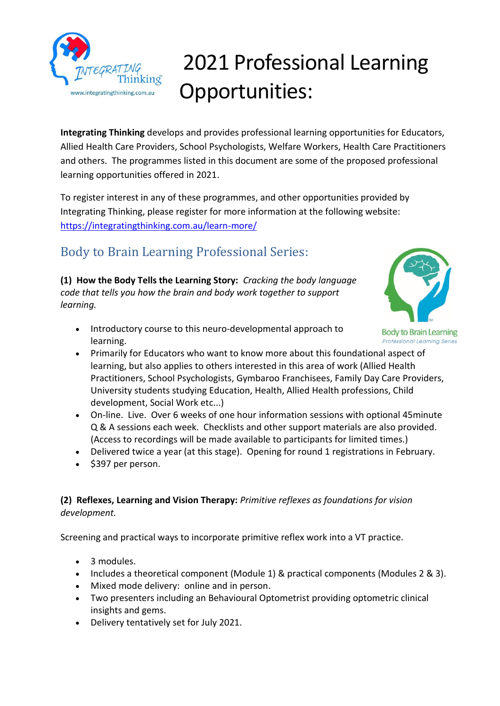

# 2021 Professional Learning Opportunities:

**Integrating Thinking** develops and provides professional learning opportunities for Educators, Allied Health Care Providers, School Psychologists, Welfare Workers, Health Care Practitioners and others. The programmes listed in this document are some of the proposed professional learning opportunities offered in 2021.

To register interest in any of these programmes, and other opportunities provided by Integrating Thinking, please register for more information at the following website: <https://integratingthinking.com.au/learn-more/>

## Body to Brain Learning Professional Series:

**(1) How the Body Tells the Learning Story:** *Cracking the body language code that tells you how the brain and body work together to support learning.*



- **Body to Brain Learning Professional Learning Series**
- Introductory course to this neuro-developmental approach to learning.
- Primarily for Educators who want to know more about this foundational aspect of learning, but also applies to others interested in this area of work (Allied Health Practitioners, School Psychologists, Gymbaroo Franchisees, Family Day Care Providers, University students studying Education, Health, Allied Health professions, Child development, Social Work etc...)
- On-line. Live. Over 6 weeks of one hour information sessions with optional 45minute Q & A sessions each week. Checklists and other support materials are also provided. (Access to recordings will be made available to participants for limited times.)
- Delivered twice a year (at this stage). Opening for round 1 registrations in February.
- \$397 per person.

#### **(2) Reflexes, Learning and Vision Therapy:** *Primitive reflexes as foundations for vision development.*

Screening and practical ways to incorporate primitive reflex work into a VT practice.

- 3 modules.
- Includes a theoretical component (Module 1) & practical components (Modules 2 & 3).
- Mixed mode delivery: online and in person.
- Two presenters including an Behavioural Optometrist providing optometric clinical insights and gems.
- Delivery tentatively set for July 2021.